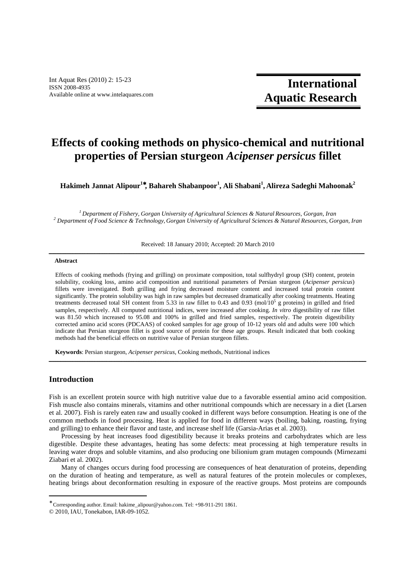Int Aquat Res (2010) 2: 15-23 ISSN 2008-4935 Available online at www.intelaquares.com

**International Aquatic Research**

# **Effects of cooking methods on physico-chemical and nutritional properties of Persian sturgeon** *Acipenser persicus* **fillet**

**Hakimeh Jannat Alipour<sup>1</sup>**<sup>∗</sup>**, Bahareh Shabanpoor<sup>1</sup> , Ali Shabani<sup>1</sup> , Alireza Sadeghi Mahoonak<sup>2</sup>**

*<sup>1</sup>Department of Fishery, Gorgan University of Agricultural Sciences & Natural Resources, Gorgan, Iran 2 Department of Food Science & Technology, Gorgan University of Agricultural Sciences & Natural Resources, Gorgan, Iran .* 

Received: 18 January 2010; Accepted: 20 March 2010 ـــــــــــــــــــــــــــــــــــــــــــــــــــــــــ ـــــ ـــــــــــــــــــــــــــــــــــــــــــــــــــــــــــــــــــــــــــــــــــــــــــــــــــــــــــــــــــــــــــــ

#### **Abstract**

Effects of cooking methods (frying and grilling) on proximate composition, total sulfhydryl group (SH) content, protein solubility, cooking loss, amino acid composition and nutritional parameters of Persian sturgeon (*Acipenser persicus*) fillets were investigated. Both grilling and frying decreased moisture content and increased total protein content significantly. The protein solubility was high in raw samples but decreased dramatically after cooking treatments. Heating treatments decreased total SH content from 5.33 in raw fillet to 0.43 and 0.93 (mol/10<sup>5</sup> g proteins) in grilled and fried samples, respectively. All computed nutritional indices, were increased after cooking. *In vitro* digestibility of raw fillet was 81.50 which increased to 95.08 and 100% in grilled and fried samples, respectively. The protein digestibility corrected amino acid scores (PDCAAS) of cooked samples for age group of 10-12 years old and adults were 100 which indicate that Persian sturgeon fillet is good source of protein for these age groups. Result indicated that both cooking methods had the beneficial effects on nutritive value of Persian sturgeon fillets.

**Keywords**: Persian sturgeon, *Acipenser persicus*, Cooking methods, Nutritional indices ــــــــــــــــــــــــــــــــــــــــــــــــــــــــــــــــــــــــــــــــــــــــــــــــــــــــــــــــــــــــــــــــــــــــــــــــــــــــــــــــــــــــــــــــــــــــــــ

# **Introduction**

-

Fish is an excellent protein source with high nutritive value due to a favorable essential amino acid composition. Fish muscle also contains minerals, vitamins and other nutritional compounds which are necessary in a diet (Larsen et al. 2007). Fish is rarely eaten raw and usually cooked in different ways before consumption. Heating is one of the common methods in food processing. Heat is applied for food in different ways (boiling, baking, roasting, frying and grilling) to enhance their flavor and taste, and increase shelf life (Garsia-Arias et al. 2003).

Processing by heat increases food digestibility because it breaks proteins and carbohydrates which are less digestible. Despite these advantages, heating has some defects: meat processing at high temperature results in leaving water drops and soluble vitamins, and also producing one bilionium gram mutagen compounds (Mirnezami Ziabari et al. 2002).

Many of changes occurs during food processing are consequences of heat denaturation of proteins, depending on the duration of heating and temperature, as well as natural features of the protein molecules or complexes, heating brings about deconformation resulting in exposure of the reactive groups. Most proteins are compounds

<sup>∗</sup> Corresponding author. Email: hakime\_alipour@yahoo.com. Tel: +98-911-291 1861.

<sup>© 2010,</sup> IAU, Tonekabon, IAR-09-1052.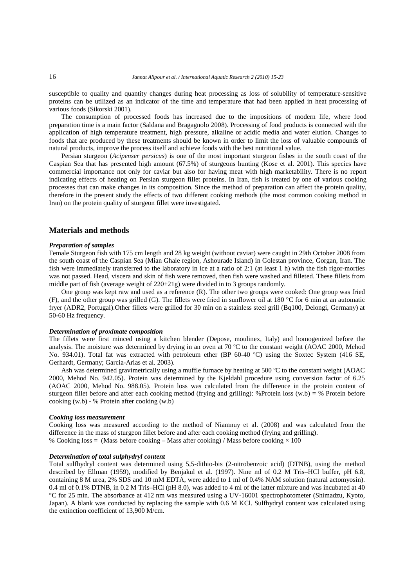susceptible to quality and quantity changes during heat processing as loss of solubility of temperature-sensitive proteins can be utilized as an indicator of the time and temperature that had been applied in heat processing of various foods (Sikorski 2001).

The consumption of processed foods has increased due to the impositions of modern life, where food preparation time is a main factor (Saldana and Bragagnolo 2008). Processing of food products is connected with the application of high temperature treatment, high pressure, alkaline or acidic media and water elution. Changes to foods that are produced by these treatments should be known in order to limit the loss of valuable compounds of natural products, improve the process itself and achieve foods with the best nutritional value.

Persian sturgeon (*Acipenser persicus*) is one of the most important sturgeon fishes in the south coast of the Caspian Sea that has presented high amount (67.5%) of sturgeons hunting (Kose et al. 2001). This species have commercial importance not only for caviar but also for having meat with high marketability. There is no report indicating effects of heating on Persian sturgeon fillet proteins. In Iran, fish is treated by one of various cooking processes that can make changes in its composition. Since the method of preparation can affect the protein quality, therefore in the present study the effects of two different cooking methods (the most common cooking method in Iran) on the protein quality of sturgeon fillet were investigated.

# **Materials and methods**

#### *Preparation of samples*

Female Sturgeon fish with 175 cm length and 28 kg weight (without caviar) were caught in 29th October 2008 from the south coast of the Caspian Sea (Mian Ghale region, Ashourade Island) in Golestan province, Gorgan, Iran. The fish were immediately transferred to the laboratory in ice at a ratio of 2:1 (at least 1 h) with the fish rigor-morties was not passed. Head, viscera and skin of fish were removed, then fish were washed and filleted. These fillets from middle part of fish (average weight of  $220\pm 21$ g) were divided in to 3 groups randomly.

One group was kept raw and used as a reference (R). The other two groups were cooked: One group was fried (F), and the other group was grilled (G). The fillets were fried in sunflower oil at 180 °C for 6 min at an automatic fryer (ADR2, Portugal).Other fillets were grilled for 30 min on a stainless steel grill (Bq100, Delongi, Germany) at 50-60 Hz frequency.

# *Determination of proximate composition*

The fillets were first minced using a kitchen blender (Depose, moulinex, Italy) and homogenized before the analysis. The moisture was determined by drying in an oven at 70 ºC to the constant weight (AOAC 2000, Mehod No. 934.01). Total fat was extracted with petroleum ether (BP 60-40 ºC) using the Soxtec System (416 SE, Gerhardt, Germany; Garcia-Arias et al. 2003).

Ash was determined gravimetrically using a muffle furnace by heating at 500 °C to the constant weight (AOAC) 2000, Mehod No. 942.05). Protein was determined by the Kjeldahl procedure using conversion factor of 6.25 (AOAC 2000, Mehod No. 988.05). Protein loss was calculated from the difference in the protein content of sturgeon fillet before and after each cooking method (frying and grilling): %Protein loss  $(w.b) = %$  Protein before cooking (w.b) - % Protein after cooking (w.b)

#### *Cooking loss measurement*

Cooking loss was measured according to the method of Niamnuy et al. (2008) and was calculated from the difference in the mass of sturgeon fillet before and after each cooking method (frying and grilling). % Cooking loss = (Mass before cooking – Mass after cooking) / Mass before cooking  $\times$  100

#### *Determination of total sulphydryl content*

Total sulfhydryl content was determined using 5,5-dithio-bis (2-nitrobenzoic acid) (DTNB), using the method described by Ellman (1959), modified by Benjakul et al. (1997). Nine ml of 0.2 M Tris–HCl buffer, pH 6.8, containing 8 M urea, 2% SDS and 10 mM EDTA, were added to 1 ml of 0.4% NAM solution (natural actomyosin). 0.4 ml of 0.1% DTNB, in 0.2 M Tris–HCl (pH 8.0), was added to 4 ml of the latter mixture and was incubated at 40 °C for 25 min. The absorbance at 412 nm was measured using a UV-16001 spectrophotometer (Shimadzu, Kyoto, Japan). A blank was conducted by replacing the sample with 0.6 M KCl. Sulfhydryl content was calculated using the extinction coefficient of 13,900 M/cm.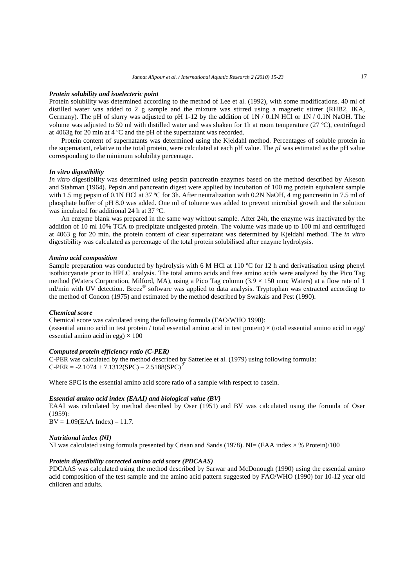#### *Protein solubility and isoelecteric point*

Protein solubility was determined according to the method of Lee et al. (1992), with some modifications. 40 ml of distilled water was added to 2 g sample and the mixture was stirred using a magnetic stirrer (RHB2, IKA, Germany). The pH of slurry was adjusted to pH 1-12 by the addition of  $1N / 0.1N$  HCl or  $1N / 0.1N$  NaOH. The volume was adjusted to 50 ml with distilled water and was shaken for 1h at room temperature (27 ºC), centrifuged at 4063g for 20 min at 4 ºC and the pH of the supernatant was recorded.

Protein content of supernatants was determined using the Kjeldahl method. Percentages of soluble protein in the supernatant, relative to the total protein, were calculated at each pH value. The *pI* was estimated as the pH value corresponding to the minimum solubility percentage.

#### *In vitro digestibility*

*In vitro* digestibility was determined using pepsin pancreatin enzymes based on the method described by Akeson and Stahman (1964). Pepsin and pancreatin digest were applied by incubation of 100 mg protein equivalent sample with 1.5 mg pepsin of 0.1N HCl at 37 °C for 3h. After neutralization with 0.2N NaOH, 4 mg pancreatin in 7.5 ml of phosphate buffer of pH 8.0 was added. One ml of toluene was added to prevent microbial growth and the solution was incubated for additional 24 h at 37 ºC.

An enzyme blank was prepared in the same way without sample. After 24h, the enzyme was inactivated by the addition of 10 ml 10% TCA to precipitate undigested protein. The volume was made up to 100 ml and centrifuged at 4063 g for 20 min. the protein content of clear supernatant was determined by Kjeldahl method. The *in vitro* digestibility was calculated as percentage of the total protein solubilised after enzyme hydrolysis.

#### *Amino acid composition*

Sample preparation was conducted by hydrolysis with 6 M HCl at 110 °C for 12 h and derivatisation using phenyl isothiocyanate prior to HPLC analysis. The total amino acids and free amino acids were analyzed by the Pico Tag method (Waters Corporation, Milford, MA), using a Pico Tag column (3.9  $\times$  150 mm; Waters) at a flow rate of 1 ml/min with UV detection. Breez® software was applied to data analysis. Tryptophan was extracted according to the method of Concon (1975) and estimated by the method described by Swakais and Pest (1990).

### *Chemical score*

Chemical score was calculated using the following formula (FAO/WHO 1990): (essential amino acid in test protein / total essential amino acid in test protein)  $\times$  (total essential amino acid in egg/ essential amino acid in egg)  $\times$  100

# *Computed protein efficiency ratio (C-PER)*

C-PER was calculated by the method described by Satterlee et al. (1979) using following formula:  $C-PER = -2.1074 + 7.1312(SPC) - 2.5188(SPC)^{2}$ 

Where SPC is the essential amino acid score ratio of a sample with respect to casein.

#### *Essential amino acid index (EAAI) and biological value (BV)*

EAAI was calculated by method described by Oser (1951) and BV was calculated using the formula of Oser  $(1959)$ 

 $BV = 1.09$ (EAA Index) – 11.7.

#### *Nutritional index (NI)*

NI was calculated using formula presented by Crisan and Sands (1978). NI= (EAA index  $\times$  % Protein)/100

#### *Protein digestibility corrected amino acid score (PDCAAS)*

PDCAAS was calculated using the method described by Sarwar and McDonough (1990) using the essential amino acid composition of the test sample and the amino acid pattern suggested by FAO/WHO (1990) for 10-12 year old children and adults.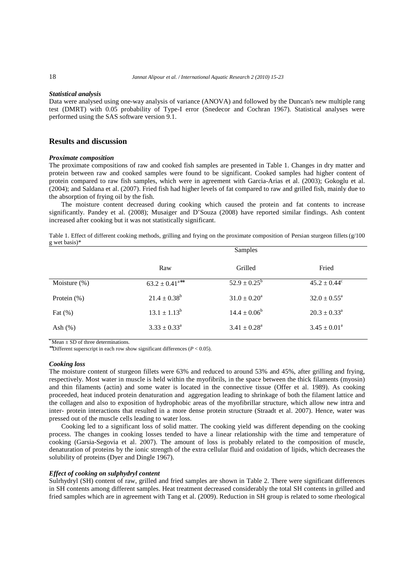#### *Statistical analysis*

Data were analysed using one-way analysis of variance (ANOVA) and followed by the Duncan's new multiple rang test (DMRT) with 0.05 probability of Type-I error (Snedecor and Cochran 1967). Statistical analyses were performed using the SAS software version 9.1.

# **Results and discussion**

#### *Proximate composition*

The proximate compositions of raw and cooked fish samples are presented in Table 1. Changes in dry matter and protein between raw and cooked samples were found to be significant. Cooked samples had higher content of protein compared to raw fish samples, which were in agreement with Garcia-Arias et al. (2003); Gokoglu et al. (2004); and Saldana et al. (2007). Fried fish had higher levels of fat compared to raw and grilled fish, mainly due to the absorption of frying oil by the fish.

The moisture content decreased during cooking which caused the protein and fat contents to increase significantly. Pandey et al. (2008); Musaiger and D'Souza (2008) have reported similar findings. Ash content increased after cooking but it was not statistically significant.

Table 1. Effect of different cooking methods, grilling and frying on the proximate composition of Persian sturgeon fillets  $(g/100)$ g wet basis)\*

|                 | Samples                        |                            |                            |
|-----------------|--------------------------------|----------------------------|----------------------------|
|                 | Raw                            | Grilled                    | Fried                      |
| Moisture $(\%)$ | $63.2 \pm 0.41$ <sup>a**</sup> | $52.9 \pm 0.25^{\rm b}$    | $45.2 \pm 0.44^c$          |
| Protein (%)     | $21.4 \pm 0.38^b$              | $31.0 \pm 0.20^a$          | $32.0 \pm 0.55^{\text{a}}$ |
| Fat $(\%)$      | $13.1 \pm 1.13^b$              | $14.4 \pm 0.06^b$          | $20.3 \pm 0.33^{\circ}$    |
| Ash $(\%)$      | $3.33 \pm 0.33^{\text{a}}$     | $3.41 \pm 0.28^{\text{a}}$ | $3.45 \pm 0.01^a$          |

 $*$  Mean  $\pm$  SD of three determinations.

∗∗Different superscript in each row show significant differences (*P* < 0.05).

#### *Cooking loss*

The moisture content of sturgeon fillets were 63% and reduced to around 53% and 45%, after grilling and frying, respectively. Most water in muscle is held within the myofibrils, in the space between the thick filaments (myosin) and thin filaments (actin) and some water is located in the connective tissue (Offer et al. 1989). As cooking proceeded, heat induced protein denaturation and aggregation leading to shrinkage of both the filament lattice and the collagen and also to exposition of hydrophobic areas of the myofibrillar structure, which allow new intra and inter- protein interactions that resulted in a more dense protein structure (Straadt et al. 2007). Hence, water was pressed out of the muscle cells leading to water loss.

Cooking led to a significant loss of solid matter. The cooking yield was different depending on the cooking process. The changes in cooking losses tended to have a linear relationship with the time and temperature of cooking (Garsia-Segovia et al. 2007). The amount of loss is probably related to the composition of muscle, denaturation of proteins by the ionic strength of the extra cellular fluid and oxidation of lipids, which decreases the solubility of proteins (Dyer and Dingle 1967).

# *Effect of cooking on sulphydryl content*

Sulrhydryl (SH) content of raw, grilled and fried samples are shown in Table 2. There were significant differences in SH contents among different samples. Heat treatment decreased considerably the total SH contents in grilled and fried samples which are in agreement with Tang et al. (2009). Reduction in SH group is related to some rheological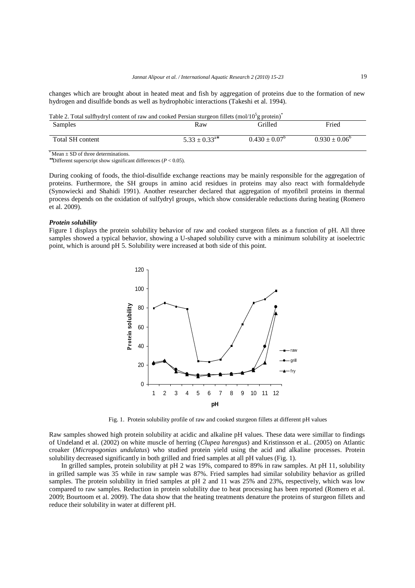changes which are brought about in heated meat and fish by aggregation of proteins due to the formation of new hydrogen and disulfide bonds as well as hydrophobic interactions (Takeshi et al. 1994).

Table 2. Total sulfhydryl content of raw and cooked Persian sturgeon fillets (mol/10<sup>5</sup>g protein)<sup>\*</sup> Samples **Raw** Grilled Fried Total SH content  $5.33 \pm 0.33$ <sup>a\*</sup>  $0.430 \pm 0.07^b$   $0.930 \pm 0.06^b$ 

 $*$  Mean  $\pm$  SD of three determinations.

∗∗Different superscript show significant differences (*P* < 0.05).

During cooking of foods, the thiol-disulfide exchange reactions may be mainly responsible for the aggregation of proteins. Furthermore, the SH groups in amino acid residues in proteins may also react with formaldehyde (Synowiecki and Shahidi 1991). Another researcher declared that aggregation of myofibril proteins in thermal process depends on the oxidation of sulfydryl groups, which show considerable reductions during heating (Romero et al. 2009).

#### *Protein solubility*

Figure 1 displays the protein solubility behavior of raw and cooked sturgeon filets as a function of pH. All three samples showed a typical behavior, showing a U-shaped solubility curve with a minimum solubility at isoelectric point, which is around pH 5. Solubility were increased at both side of this point.



Fig. 1. Protein solubility profile of raw and cooked sturgeon fillets at different pH values

Raw samples showed high protein solubility at acidic and alkaline pH values. These data were simillar to findings of Undeland et al. (2002) on white muscle of herring (*Clupea harengus*) and Kristinsson et al*..* (2005) on Atlantic croaker (*Micropogonias undulatus*) who studied protein yield using the acid and alkaline processes. Protein solubility decreased significantly in both grilled and fried samples at all pH values (Fig. 1).

In grilled samples, protein solubility at pH 2 was 19%, compared to 89% in raw samples. At pH 11, solubility in grilled sample was 35 while in raw sample was 87%. Fried samples had similar solubility behavior as grilled samples. The protein solubility in fried samples at pH 2 and 11 was 25% and 23%, respectively, which was low compared to raw samples. Reduction in protein solubility due to heat processing has been reported (Romero et al. 2009; Bourtoom et al. 2009). The data show that the heating treatments denature the proteins of sturgeon fillets and reduce their solubility in water at different pH.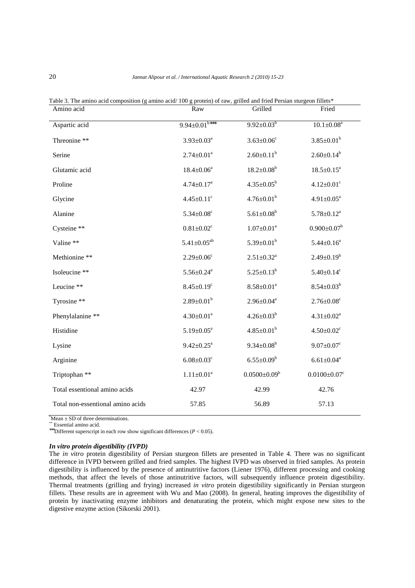| Amino acid                        | Raw                          | Grilled                      | Fried                          |
|-----------------------------------|------------------------------|------------------------------|--------------------------------|
| Aspartic acid                     | $9.94 \pm 0.01^{b***}$       | $9.92 \pm 0.03^b$            | $10.1 \pm 0.08^a$              |
| Threonine **                      | $3.93 \pm 0.03^a$            | $3.63 \pm 0.06$ <sup>c</sup> | $3.85 \pm 0.01^b$              |
| Serine                            | $2.74 \pm 0.01^a$            | $2.60 \pm 0.11^b$            | $2.60 \pm 0.14^b$              |
| Glutamic acid                     | $18.4 \pm 0.06^a$            | $18.2 \pm 0.08^b$            | $18.5 \pm 0.15^a$              |
| Proline                           | $4.74 \pm 0.17^a$            | $4.35 \pm 0.05^b$            | $4.12 \pm 0.01$ <sup>c</sup>   |
| Glycine                           | $4.45 \pm 0.11$ <sup>c</sup> | $4.76 \pm 0.01^b$            | $4.91 \pm 0.05^a$              |
| Alanine                           | $5.34 \pm 0.08$ <sup>c</sup> | $5.61 \pm 0.08^b$            | $5.78 \pm 0.12^a$              |
| Cysteine **                       | $0.81 \pm 0.02$ <sup>c</sup> | $1.07 \pm 0.01$ <sup>a</sup> | $0.900 \pm 0.07^b$             |
| Valine **                         | $5.41 \pm 0.05^{ab}$         | $5.39 \pm 0.01^b$            | $5.44 \pm 0.16^a$              |
| Methionine **                     | $2.29 \pm 0.06$ c            | $2.51 \pm 0.32^a$            | $2.49 \pm 0.19^b$              |
| Isoleucine **                     | $5.56 \pm 0.24$ <sup>a</sup> | $5.25 \pm 0.13^b$            | $5.40 \pm 0.14$ <sup>c</sup>   |
| Leucine **                        | $8.45 \pm 0.19$ <sup>c</sup> | $8.58 \pm 0.01^a$            | $8.54{\pm}0.03^{\mathrm{b}}$   |
| Tyrosine **                       | $2.89 \pm 0.01^b$            | $2.96 \pm 0.04^a$            | $2.76 \pm 0.08$ <sup>c</sup>   |
| Phenylalanine **                  | $4.30 \pm 0.01^a$            | $4.26 \pm 0.03^b$            | $4.31 \pm 0.02^a$              |
| Histidine                         | $5.19 \pm 0.05^{\text{a}}$   | $4.85 \pm 0.01^b$            | $4.50{\pm}0.02^c$              |
| Lysine                            | $9.42 \pm 0.25^a$            | $9.34 \pm 0.08^b$            | $9.07 \pm 0.07$ <sup>c</sup>   |
| Arginine                          | $6.08 \pm 0.03$ <sup>c</sup> | $6.55 \pm 0.09^b$            | $6.61 \pm 0.04$ <sup>a</sup>   |
| Triptophan **                     | $1.11 \pm 0.01^a$            | $0.0500 \pm 0.09^b$          | $0.0100 \pm 0.07$ <sup>c</sup> |
| Total essentional amino acids     | 42.97                        | 42.99                        | 42.76                          |
| Total non-essentional amino acids | 57.85                        | 56.89                        | 57.13                          |

Table 3. The amino acid composition (g amino acid/100 g protein) of raw, grilled and fried Persian sturgeon fillets\*

 $*$ Mean  $\pm$  SD of three determinations.

\*\* Essential amino acid.

∗∗∗Different superscript in each row show significant differences (*P* < 0.05).

# *In vitro protein digestibility (IVPD)*

The *in vitro* protein digestibility of Persian sturgeon fillets are presented in Table 4. There was no significant difference in IVPD between grilled and fried samples. The highest IVPD was observed in fried samples. As protein digestibility is influenced by the presence of antinutritive factors (Liener 1976), different processing and cooking methods, that affect the levels of those antinutritive factors, will subsequently influence protein digestibility. Thermal treatments (grilling and frying) increased *in vitro* protein digestibility significantly in Persian sturgeon fillets. These results are in agreement with Wu and Mao (2008). In general, heating improves the digestibility of protein by inactivating enzyme inhibitors and denaturating the protein, which might expose new sites to the digestive enzyme action (Sikorski 2001).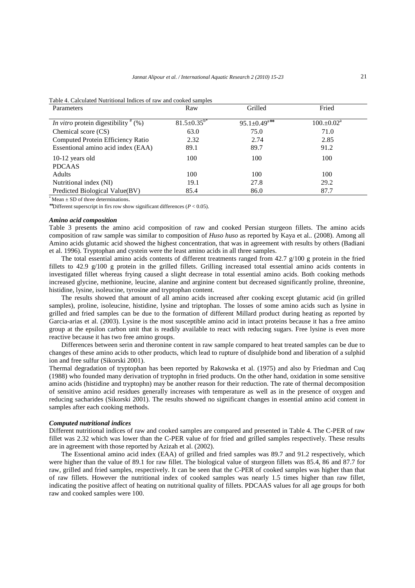| Parameters                                    | Raw                  | Grilled                        | Fried                    |
|-----------------------------------------------|----------------------|--------------------------------|--------------------------|
| <i>In vitro</i> protein digestibility $*(\%)$ | $81.5 \pm 0.35^{b*}$ | $95.1 \pm 0.49$ <sup>a**</sup> | $100.+0.02$ <sup>a</sup> |
| Chemical score (CS)                           | 63.0                 | 75.0                           | 71.0                     |
| Computed Protein Efficiency Ratio             | 2.32                 | 2.74                           | 2.85                     |
| Essentional amino acid index (EAA)            | 89.1                 | 89.7                           | 91.2                     |
| $10-12$ years old                             | 100                  | 100                            | 100                      |
| <b>PDCAAS</b>                                 |                      |                                |                          |
| Adults                                        | 100                  | 100                            | 100                      |
| Nutritional index (NI)                        | 19.1                 | 27.8                           | 29.2                     |
| Predicted Biological Value(BV)                | 85.4                 | 86.0                           | 87.7                     |

Table 4. Calculated Nutritional Indices of raw and cooked samples

 $*$  Mean  $+$  SD of three determinations.

∗∗Different superscript in firs row show significant differences (*P* < 0.05).

# *Amino acid composition*

Table 3 presents the amino acid composition of raw and cooked Persian sturgeon fillets. The amino acids composition of raw sample was similar to composition of *Huso huso* as reported by Kaya et al*..* (2008). Among all Amino acids glutamic acid showed the highest concentration, that was in agreement with results by others (Badiani et al. 1996). Tryptophan and cystein were the least amino acids in all three samples.

The total essential amino acids contents of different treatments ranged from  $42.7 \frac{\nu}{100}$  g protein in the fried fillets to 42.9 g/100 g protein in the grilled fillets. Grilling increased total essential amino acids contents in investigated fillet whereas frying caused a slight decrease in total essential amino acids. Both cooking methods increased glycine, methionine, leucine, alanine and arginine content but decreased significantly proline, threonine, histidine, lysine, isoleucine, tyrosine and tryptophan content.

The results showed that amount of all amino acids increased after cooking except glutamic acid (in grilled samples), proline, isoleucine, histidine, lysine and triptophan. The losses of some amino acids such as lysine in grilled and fried samples can be due to the formation of different Millard product during heating as reported by Garcia-arias et al. (2003). Lysine is the most susceptible amino acid in intact proteins because it has a free amino group at the epsilon carbon unit that is readily available to react with reducing sugars. Free lysine is even more reactive because it has two free amino groups.

Differences between serin and theronine content in raw sample compared to heat treated samples can be due to changes of these amino acids to other products, which lead to rupture of disulphide bond and liberation of a sulphid ion and free sulfur (Sikorski 2001).

Thermal degradation of tryptophan has been reported by Rakowska et al. (1975) and also by Friedman and Cuq (1988) who founded many derivation of tryptophn in fried products. On the other hand, oxidation in some sensitive amino acids (histidine and tryptophn) may be another reason for their reduction. The rate of thermal decomposition of sensitive amino acid residues generally increases with temperature as well as in the presence of oxygen and reducing sacharides (Sikorski 2001). The results showed no significant changes in essential amino acid content in samples after each cooking methods.

# *Computed nutritional indices*

Different nutritional indices of raw and cooked samples are compared and presented in Table 4. The C-PER of raw fillet was 2.32 which was lower than the C-PER value of for fried and grilled samples respectively. These results are in agreement with those reported by Azizah et al. (2002).

The Essentional amino acid index (EAA) of grilled and fried samples was 89.7 and 91.2 respectively, which were higher than the value of 89.1 for raw fillet. The biological value of sturgeon fillets was 85.4, 86 and 87.7 for raw, grilled and fried samples, respectively. It can be seen that the C-PER of cooked samples was higher than that of raw fillets. However the nutritional index of cooked samples was nearly 1.5 times higher than raw fillet, indicating the positive affect of heating on nutritional quality of fillets. PDCAAS values for all age groups for both raw and cooked samples were 100.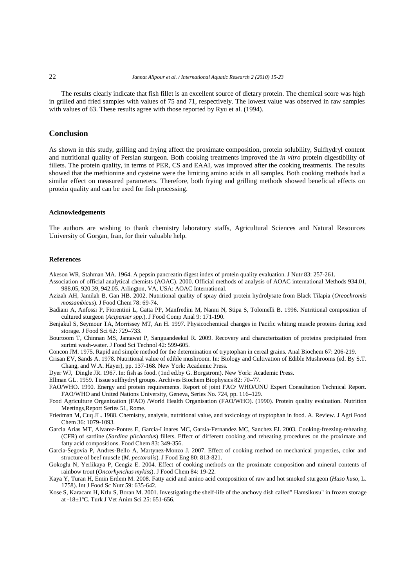The results clearly indicate that fish fillet is an excellent source of dietary protein. The chemical score was high in grilled and fried samples with values of 75 and 71, respectively. The lowest value was observed in raw samples with values of 63. These results agree with those reported by Ryu et al. (1994).

# **Conclusion**

As shown in this study, grilling and frying affect the proximate composition, protein solubility, Sulfhydryl content and nutritional quality of Persian sturgeon. Both cooking treatments improved the *in vitro* protein digestibility of fillets. The protein quality, in terms of PER, CS and EAAI, was improved after the cooking treatments. The results showed that the methionine and cysteine were the limiting amino acids in all samples. Both cooking methods had a similar effect on measured parameters. Therefore, both frying and grilling methods showed beneficial effects on protein quality and can be used for fish processing.

#### **Acknowledgements**

The authors are wishing to thank chemistry laboratory staffs, Agricultural Sciences and Natural Resources University of Gorgan, Iran, for their valuable help.

#### **References**

Akeson WR, Stahman MA. 1964. A pepsin pancreatin digest index of protein quality evaluation. J Nutr 83: 257-261.

- Association of official analytical chemists (AOAC). 2000. Official methods of analysis of AOAC international Methods 934.01, 988.05, 920.39, 942.05. Arlington, VA, USA: AOAC International.
- Azizah AH, Jamilah B, Gan HB. 2002. Nutritional quality of spray dried protein hydrolysate from Black Tilapia (*Oreochromis mossambicus*). J Food Chem 78: 69-74.
- Badiani A, Anfossi P, Fiorentini L, Gatta PP, Manfredini M, Nanni N, Stipa S, Tolomelli B. 1996. Nutritional composition of cultured sturgeon (*Acipenser spp*.). J Food Comp Anal 9: 171-190.
- Benjakul S, Seymour TA, Morrissey MT, An H. 1997. Physicochemical changes in Pacific whiting muscle proteins during iced storage. J Food Sci 62: 729–733.
- Bourtoom T, Chinnan MS, Jantawat P, Sanguandeekul R. 2009. Recovery and characterization of proteins precipitated from surimi wash-water. J Food Sci Technol 42: 599-605.
- Concon JM. 1975. Rapid and simple method for the determination of tryptophan in cereal grains. Anal Biochem 67: 206-219.
- Crisan EV, Sands A. 1978. Nutritional value of edible mushroom. In: Biology and Cultivation of Edible Mushrooms (ed. By S.T. Chang, and W.A. Hayer), pp. 137-168. New York: Academic Press.
- Dyer WJ, Dingle JR. 1967. In: fish as food. (1nd ed.by G. Borgstrom). New York: Academic Press.
- Ellman GL. 1959. Tissue sulfhydryl groups. Archives Biochem Biophysics 82: 70–77.
- FAO/WHO. 1990. Energy and protein requirements. Report of joint FAO/ WHO/UNU Expert Consultation Technical Report. FAO/WHO and United Nations University, Geneva, Series No. 724, pp. 116–129.
- Food Agriculture Organization (FAO) /World Health Organisation (FAO/WHO). (1990). Protein quality evaluation. Nutrition Meetings,Report Series 51, Rome.
- Friedman M, Cuq JL. 1988. Chemistry, analysis, nutritional value, and toxicology of tryptophan in food. A. Review. J Agri Food Chem 36: 1079-1093.
- Garcia Arias MT, Alvarez-Pontes E, Garcia-Linares MC, Garsia-Fernandez MC, Sanchez FJ. 2003. Cooking-freezing-reheating (CFR) of sardine (*Sardina pilchardus*) fillets. Effect of different cooking and reheating procedures on the proximate and fatty acid compositions. Food Chem 83: 349-356.
- Garcia-Segovia P, Andres-Bello A, Martynez-Monzo J. 2007. Effect of cooking method on mechanical properties, color and structure of beef muscle (*M. pectoralis*). J Food Eng 80: 813-821.
- Gokoglu N, Yerlikaya P, Cengiz E. 2004. Effect of cooking methods on the proximate composition and mineral contents of rainbow trout (*Oncorhynchus mykiss*). J Food Chem 84: 19-22.
- Kaya Y, Turan H, Emin Erdem M. 2008. Fatty acid and amino acid composition of raw and hot smoked sturgeon (*Huso huso*, L. 1758). Int J Food Sc Nutr 59: 635-642.
- Kose S, Karacam H, Ktlu S, Boran M. 2001. Investigating the shelf-life of the anchovy dish called" Hamsikusu" in frozen storage at -18±1ºC. Turk J Vet Anim Sci 25: 651-656.